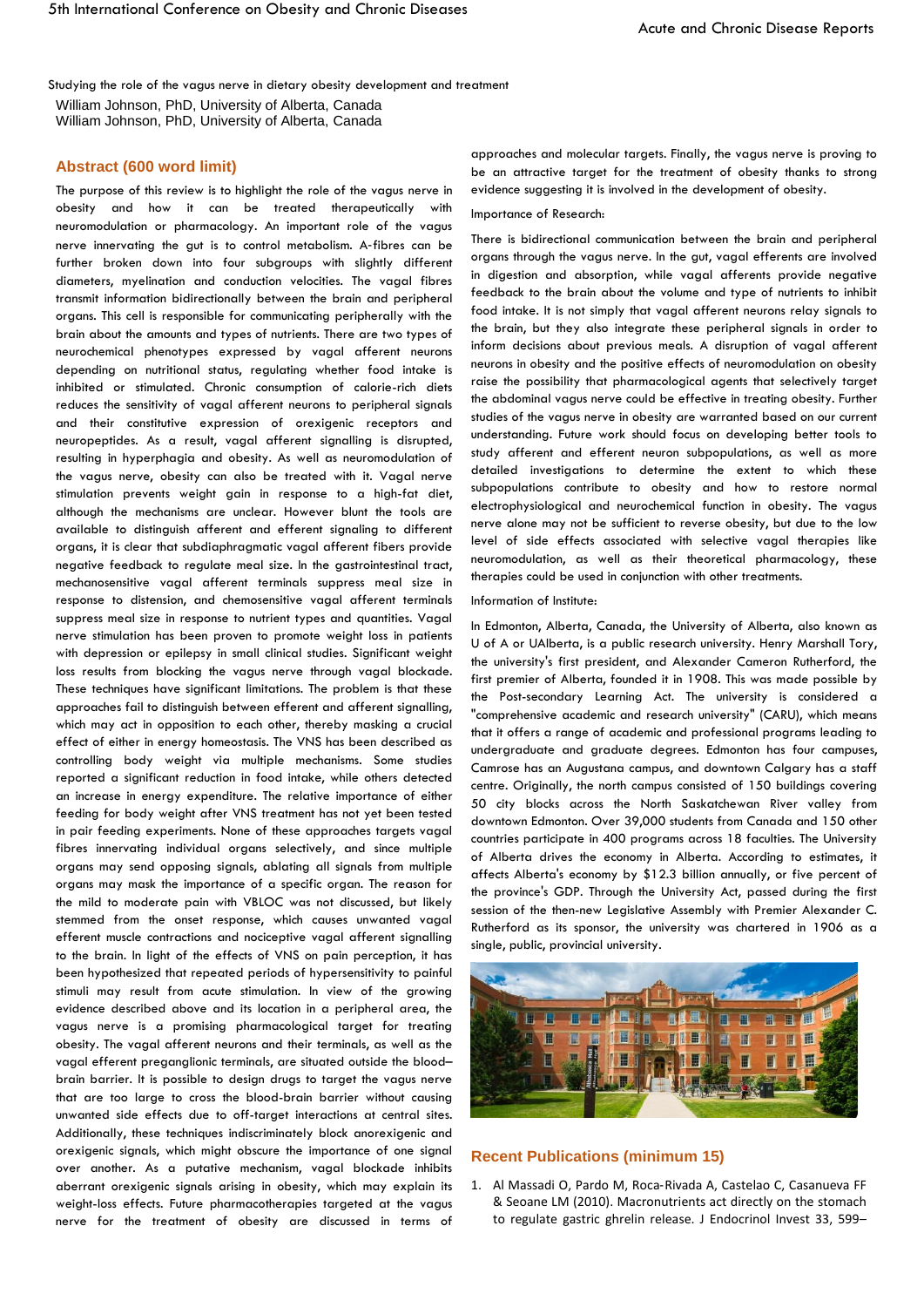Studying the role of the vagus nerve in dietary obesity development and treatment William Johnson, PhD, University of Alberta, Canada William Johnson, PhD, University of Alberta, Canada

# **Abstract (600 word limit)**

The purpose of this review is to highlight the role of the vagus nerve in obesity and how it can be treated therapeutically with neuromodulation or pharmacology. An important role of the vagus nerve innervating the gut is to control metabolism. A‐fibres can be further broken down into four subgroups with slightly different diameters, myelination and conduction velocities. The vagal fibres transmit information bidirectionally between the brain and peripheral organs. This cell is responsible for communicating peripherally with the brain about the amounts and types of nutrients. There are two types of neurochemical phenotypes expressed by vagal afferent neurons depending on nutritional status, regulating whether food intake is inhibited or stimulated. Chronic consumption of calorie-rich diets reduces the sensitivity of vagal afferent neurons to peripheral signals and their constitutive expression of orexigenic receptors and neuropeptides. As a result, vagal afferent signalling is disrupted, resulting in hyperphagia and obesity. As well as neuromodulation of the vagus nerve, obesity can also be treated with it. Vagal nerve stimulation prevents weight gain in response to a high-fat diet, although the mechanisms are unclear. However blunt the tools are available to distinguish afferent and efferent signaling to different organs, it is clear that subdiaphragmatic vagal afferent fibers provide negative feedback to regulate meal size. In the gastrointestinal tract, mechanosensitive vagal afferent terminals suppress meal size in response to distension, and chemosensitive vagal afferent terminals suppress meal size in response to nutrient types and quantities. Vagal nerve stimulation has been proven to promote weight loss in patients with depression or epilepsy in small clinical studies. Significant weight loss results from blocking the vagus nerve through vagal blockade. These techniques have significant limitations. The problem is that these approaches fail to distinguish between efferent and afferent signalling, which may act in opposition to each other, thereby masking a crucial effect of either in energy homeostasis. The VNS has been described as controlling body weight via multiple mechanisms. Some studies reported a significant reduction in food intake, while others detected an increase in energy expenditure. The relative importance of either feeding for body weight after VNS treatment has not yet been tested in pair feeding experiments. None of these approaches targets vagal fibres innervating individual organs selectively, and since multiple organs may send opposing signals, ablating all signals from multiple organs may mask the importance of a specific organ. The reason for the mild to moderate pain with VBLOC was not discussed, but likely stemmed from the onset response, which causes unwanted vagal efferent muscle contractions and nociceptive vagal afferent signalling to the brain. In light of the effects of VNS on pain perception, it has been hypothesized that repeated periods of hypersensitivity to painful stimuli may result from acute stimulation. In view of the growing evidence described above and its location in a peripheral area, the vagus nerve is a promising pharmacological target for treating obesity. The vagal afferent neurons and their terminals, as well as the vagal efferent preganglionic terminals, are situated outside the blood– brain barrier. It is possible to design drugs to target the vagus nerve that are too large to cross the blood-brain barrier without causing unwanted side effects due to off-target interactions at central sites. Additionally, these techniques indiscriminately block anorexigenic and orexigenic signals, which might obscure the importance of one signal over another. As a putative mechanism, vagal blockade inhibits aberrant orexigenic signals arising in obesity, which may explain its weight-loss effects. Future pharmacotherapies targeted at the vagus nerve for the treatment of obesity are discussed in terms of

approaches and molecular targets. Finally, the vagus nerve is proving to be an attractive target for the treatment of obesity thanks to strong evidence suggesting it is involved in the development of obesity.

# Importance of Research:

There is bidirectional communication between the brain and peripheral organs through the vagus nerve. In the gut, vagal efferents are involved in digestion and absorption, while vagal afferents provide negative feedback to the brain about the volume and type of nutrients to inhibit food intake. It is not simply that vagal afferent neurons relay signals to the brain, but they also integrate these peripheral signals in order to inform decisions about previous meals. A disruption of vagal afferent neurons in obesity and the positive effects of neuromodulation on obesity raise the possibility that pharmacological agents that selectively target the abdominal vagus nerve could be effective in treating obesity. Further studies of the vagus nerve in obesity are warranted based on our current understanding. Future work should focus on developing better tools to study afferent and efferent neuron subpopulations, as well as more detailed investigations to determine the extent to which these subpopulations contribute to obesity and how to restore normal electrophysiological and neurochemical function in obesity. The vagus nerve alone may not be sufficient to reverse obesity, but due to the low level of side effects associated with selective vagal therapies like neuromodulation, as well as their theoretical pharmacology, these therapies could be used in conjunction with other treatments.

### Information of Institute:

In Edmonton, Alberta, Canada, the University of Alberta, also known as U of A or UAlberta, is a public research university. Henry Marshall Tory, the university's first president, and Alexander Cameron Rutherford, the first premier of Alberta, founded it in 1908. This was made possible by the Post-secondary Learning Act. The university is considered a "comprehensive academic and research university" (CARU), which means that it offers a range of academic and professional programs leading to undergraduate and graduate degrees. Edmonton has four campuses, Camrose has an Augustana campus, and downtown Calgary has a staff centre. Originally, the north campus consisted of 150 buildings covering 50 city blocks across the North Saskatchewan River valley from downtown Edmonton. Over 39,000 students from Canada and 150 other countries participate in 400 programs across 18 faculties. The University of Alberta drives the economy in Alberta. According to estimates, it affects Alberta's economy by \$12.3 billion annually, or five percent of the province's GDP. Through the University Act, passed during the first session of the then-new Legislative Assembly with Premier Alexander C. Rutherford as its sponsor, the university was chartered in 1906 as a single, public, provincial university.



#### **Recent Publications (minimum 15)**

1. Al Massadi O, Pardo M, Roca‐Rivada A, Castelao C, Casanueva FF & Seoane LM (2010). Macronutrients act directly on the stomach to regulate gastric ghrelin release. J Endocrinol Invest 33, 599–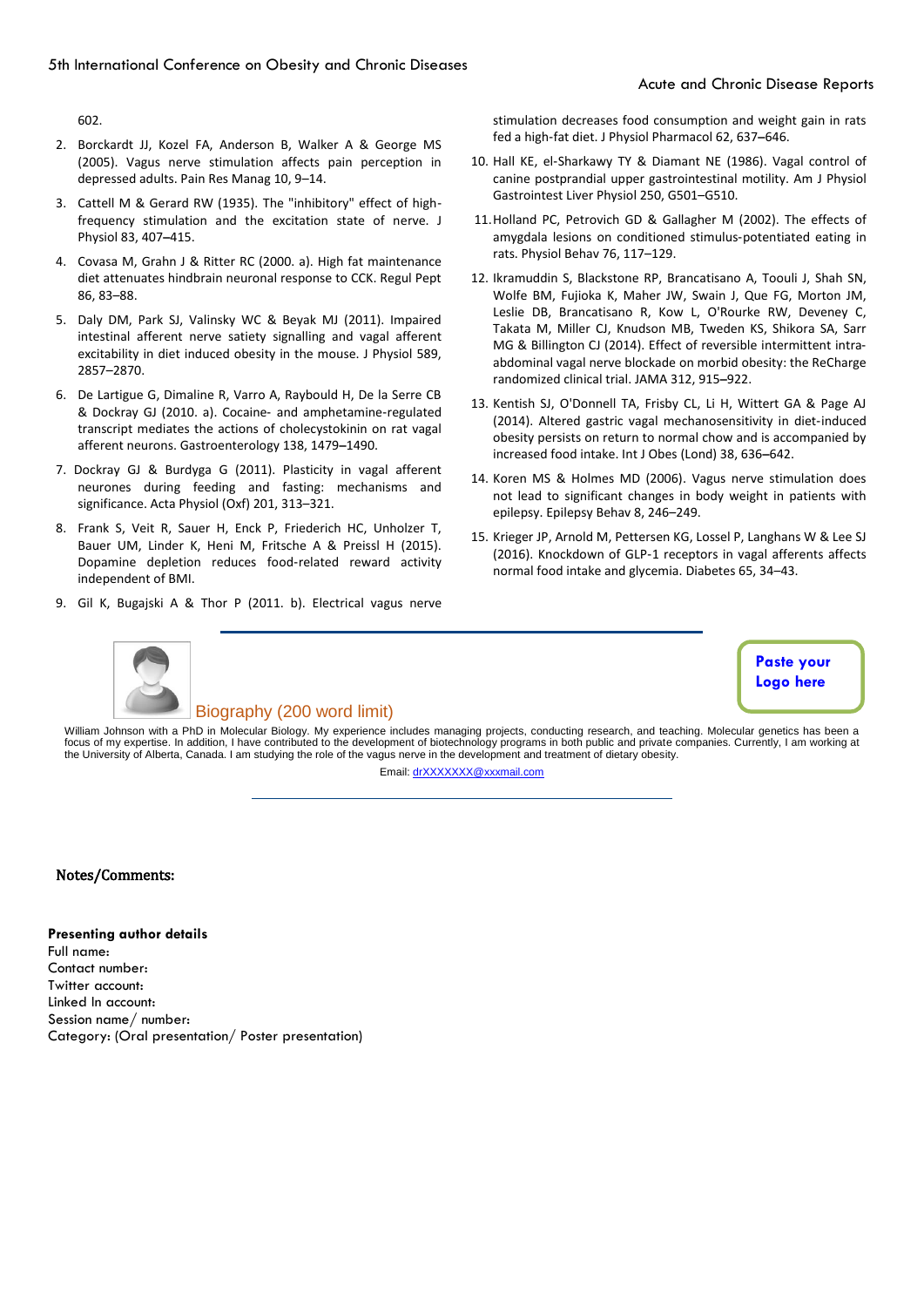602.

- 2. Borckardt JJ, Kozel FA, Anderson B, Walker A & George MS (2005). Vagus nerve stimulation affects pain perception in depressed adults. Pain Res Manag 10, 9–14.
- 3. Cattell M & Gerard RW (1935). The "inhibitory" effect of high‐ frequency stimulation and the excitation state of nerve. J Physiol 83, 407–415.
- 4. Covasa M, Grahn J & Ritter RC (2000. a). High fat maintenance diet attenuates hindbrain neuronal response to CCK. Regul Pept 86, 83–88.
- 5. Daly DM, Park SJ, Valinsky WC & Beyak MJ (2011). Impaired intestinal afferent nerve satiety signalling and vagal afferent excitability in diet induced obesity in the mouse. J Physiol 589, 2857–2870.
- 6. De Lartigue G, Dimaline R, Varro A, Raybould H, De la Serre CB & Dockray GJ (2010. a). Cocaine‐ and amphetamine‐regulated transcript mediates the actions of cholecystokinin on rat vagal afferent neurons. Gastroenterology 138, 1479–1490.
- 7. Dockray GJ & Burdyga G (2011). Plasticity in vagal afferent neurones during feeding and fasting: mechanisms and significance. Acta Physiol (Oxf) 201, 313–321.
- 8. Frank S, Veit R, Sauer H, Enck P, Friederich HC, Unholzer T, Bauer UM, Linder K, Heni M, Fritsche A & Preissl H (2015). Dopamine depletion reduces food‐related reward activity independent of BMI.
- 9. Gil K, Bugajski A & Thor P (2011. b). Electrical vagus nerve

stimulation decreases food consumption and weight gain in rats fed a high‐fat diet. J Physiol Pharmacol 62, 637–646.

- 10. Hall KE, el‐Sharkawy TY & Diamant NE (1986). Vagal control of canine postprandial upper gastrointestinal motility. Am J Physiol Gastrointest Liver Physiol 250, G501–G510.
- 11.Holland PC, Petrovich GD & Gallagher M (2002). The effects of amygdala lesions on conditioned stimulus‐potentiated eating in rats. Physiol Behav 76, 117–129.
- 12. Ikramuddin S, Blackstone RP, Brancatisano A, Toouli J, Shah SN, Wolfe BM, Fujioka K, Maher JW, Swain J, Que FG, Morton JM, Leslie DB, Brancatisano R, Kow L, O'Rourke RW, Deveney C, Takata M, Miller CJ, Knudson MB, Tweden KS, Shikora SA, Sarr MG & Billington CJ (2014). Effect of reversible intermittent intra‐ abdominal vagal nerve blockade on morbid obesity: the ReCharge randomized clinical trial. JAMA 312, 915–922.
- 13. Kentish SJ, O'Donnell TA, Frisby CL, Li H, Wittert GA & Page AJ (2014). Altered gastric vagal mechanosensitivity in diet‐induced obesity persists on return to normal chow and is accompanied by increased food intake. Int J Obes (Lond) 38, 636–642.
- 14. Koren MS & Holmes MD (2006). Vagus nerve stimulation does not lead to significant changes in body weight in patients with epilepsy. Epilepsy Behav 8, 246–249.
- 15. Krieger JP, Arnold M, Pettersen KG, Lossel P, Langhans W & Lee SJ (2016). Knockdown of GLP‐1 receptors in vagal afferents affects normal food intake and glycemia. Diabetes 65, 34–43.



# Biography (200 word limit)

**Paste your Logo here**

William Johnson with a PhD in Molecular Biology. My experience includes managing projects, conducting research, and teaching. Molecular genetics has been a focus of my expertise. In addition, I have contributed to the development of biotechnology programs in both public and private companies. Currently, I am working at the University of Alberta, Canada. I am studying the role of the vagus nerve in the development and treatment of dietary obesity. Email[: drXXXXXXX@xxxmail.com](mailto:drXXXXXXX@xxxmail.com)

# Notes/Comments:

**Presenting author details** 

Full name: Contact number: Twitter account: Linked In account: Session name/ number: Category: (Oral presentation/ Poster presentation)